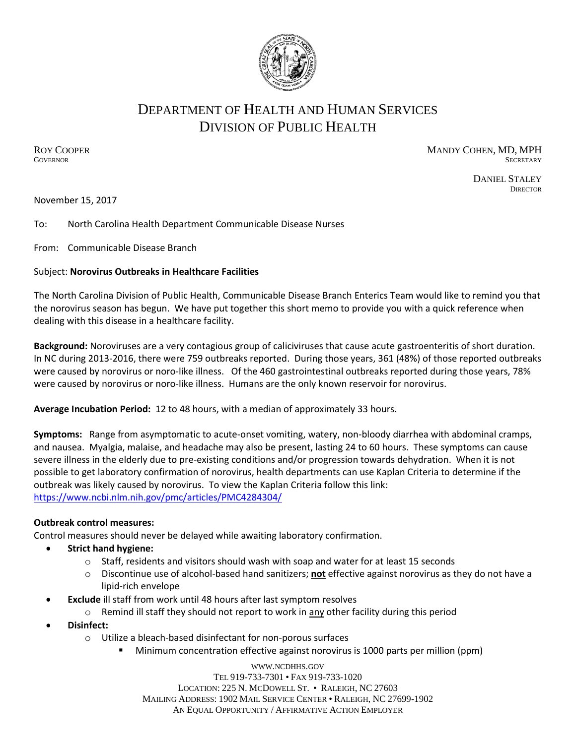

# DEPARTMENT OF HEALTH AND HUMAN SERVICES DIVISION OF PUBLIC HEALTH

ROY COOPER **MANDY COHEN, MD, MPH GOVERNOR** SECRETARY SECRETARY

DANIEL STALEY

**DIRECTOR** 

November 15, 2017

### To: North Carolina Health Department Communicable Disease Nurses

From: Communicable Disease Branch

### Subject: **Norovirus Outbreaks in Healthcare Facilities**

The North Carolina Division of Public Health, Communicable Disease Branch Enterics Team would like to remind you that the norovirus season has begun. We have put together this short memo to provide you with a quick reference when dealing with this disease in a healthcare facility.

**Background:** Noroviruses are a very contagious group of caliciviruses that cause acute gastroenteritis of short duration. In NC during 2013-2016, there were 759 outbreaks reported. During those years, 361 (48%) of those reported outbreaks were caused by norovirus or noro-like illness. Of the 460 gastrointestinal outbreaks reported during those years, 78% were caused by norovirus or noro-like illness. Humans are the only known reservoir for norovirus.

**Average Incubation Period:** 12 to 48 hours, with a median of approximately 33 hours.

**Symptoms:** Range from asymptomatic to acute-onset vomiting, watery, non-bloody diarrhea with abdominal cramps, and nausea. Myalgia, malaise, and headache may also be present, lasting 24 to 60 hours. These symptoms can cause severe illness in the elderly due to pre-existing conditions and/or progression towards dehydration. When it is not possible to get laboratory confirmation of norovirus, health departments can use Kaplan Criteria to determine if the outbreak was likely caused by norovirus. To view the Kaplan Criteria follow this link: <https://www.ncbi.nlm.nih.gov/pmc/articles/PMC4284304/>

### **Outbreak control measures:**

Control measures should never be delayed while awaiting laboratory confirmation.

- **Strict hand hygiene:**
	- $\circ$  Staff, residents and visitors should wash with soap and water for at least 15 seconds
	- o Discontinue use of alcohol-based hand sanitizers; **not** effective against norovirus as they do not have a lipid-rich envelope
- **Exclude** ill staff from work until 48 hours after last symptom resolves
	- $\circ$  Remind ill staff they should not report to work in any other facility during this period
- **Disinfect:**
	- o Utilize a bleach-based disinfectant for non-porous surfaces
		- **Minimum concentration effective against norovirus is 1000 parts per million (ppm)**

WWW.[NCDHHS](http://www.ncdhhs.gov/).GOV TEL 919-733-7301 • FAX 919-733-1020 LOCATION: 225 N. MCDOWELL ST. • RALEIGH, NC 27603 MAILING ADDRESS: 1902 MAIL SERVICE CENTER • RALEIGH, NC 27699-1902 AN EQUAL OPPORTUNITY / AFFIRMATIVE ACTION EMPLOYER